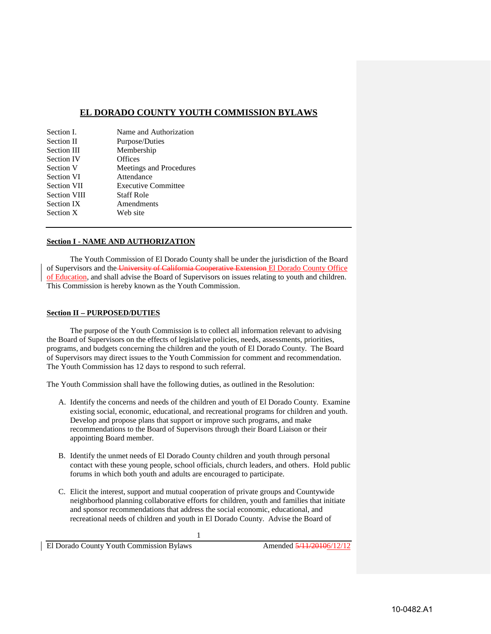# **EL DORADO COUNTY YOUTH COMMISSION BYLAWS**

| Section I.          | Name and Authorization     |
|---------------------|----------------------------|
| Section II          | Purpose/Duties             |
| Section III         | Membership                 |
| <b>Section IV</b>   | Offices                    |
| Section V           | Meetings and Procedures    |
| <b>Section VI</b>   | Attendance                 |
| Section VII         | <b>Executive Committee</b> |
| <b>Section VIII</b> | <b>Staff Role</b>          |
| Section IX          | Amendments                 |
| Section X           | Web site                   |
|                     |                            |

## **Section I - NAME AND AUTHORIZATION**

The Youth Commission of El Dorado County shall be under the jurisdiction of the Board of Supervisors and the University of California Cooperative Extension El Dorado County Office of Education, and shall advise the Board of Supervisors on issues relating to youth and children. This Commission is hereby known as the Youth Commission.

#### **Section II – PURPOSED/DUTIES**

The purpose of the Youth Commission is to collect all information relevant to advising the Board of Supervisors on the effects of legislative policies, needs, assessments, priorities, programs, and budgets concerning the children and the youth of El Dorado County. The Board of Supervisors may direct issues to the Youth Commission for comment and recommendation. The Youth Commission has 12 days to respond to such referral.

The Youth Commission shall have the following duties, as outlined in the Resolution:

- A. Identify the concerns and needs of the children and youth of El Dorado County. Examine existing social, economic, educational, and recreational programs for children and youth. Develop and propose plans that support or improve such programs, and make recommendations to the Board of Supervisors through their Board Liaison or their appointing Board member.
- B. Identify the unmet needs of El Dorado County children and youth through personal contact with these young people, school officials, church leaders, and others. Hold public forums in which both youth and adults are encouraged to participate.
- C. Elicit the interest, support and mutual cooperation of private groups and Countywide neighborhood planning collaborative efforts for children, youth and families that initiate and sponsor recommendations that address the social economic, educational, and recreational needs of children and youth in El Dorado County. Advise the Board of

1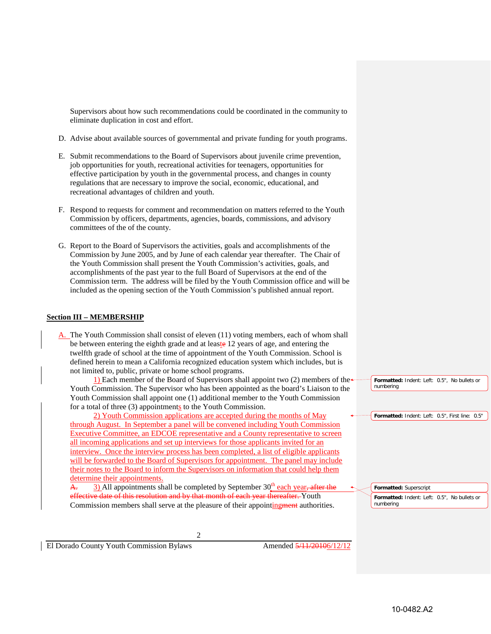Supervisors about how such recommendations could be coordinated in the community to eliminate duplication in cost and effort.

- D. Advise about available sources of governmental and private funding for youth programs.
- E. Submit recommendations to the Board of Supervisors about juvenile crime prevention, job opportunities for youth, recreational activities for teenagers, opportunities for effective participation by youth in the governmental process, and changes in county regulations that are necessary to improve the social, economic, educational, and recreational advantages of children and youth.
- F. Respond to requests for comment and recommendation on matters referred to the Youth Commission by officers, departments, agencies, boards, commissions, and advisory committees of the of the county.
- G. Report to the Board of Supervisors the activities, goals and accomplishments of the Commission by June 2005, and by June of each calendar year thereafter. The Chair of the Youth Commission shall present the Youth Commission's activities, goals, and accomplishments of the past year to the full Board of Supervisors at the end of the Commission term. The address will be filed by the Youth Commission office and will be included as the opening section of the Youth Commission's published annual report.

# **Section III – MEMBERSHIP**

A. The Youth Commission shall consist of eleven (11) voting members, each of whom shall be between entering the eighth grade and at leaste 12 years of age, and entering the twelfth grade of school at the time of appointment of the Youth Commission. School is defined herein to mean a California recognized education system which includes, but is not limited to, public, private or home school programs.

1) Each member of the Board of Supervisors shall appoint two  $(2)$  members of the Youth Commission. The Supervisor who has been appointed as the board's Liaison to the Youth Commission shall appoint one (1) additional member to the Youth Commission for a total of three (3) appointments to the Youth Commission.

2) Youth Commission applications are accepted during the months of May through August. In September a panel will be convened including Youth Commission Executive Committee, an EDCOE representative and a County representative to screen all incoming applications and set up interviews for those applicants invited for an interview. Once the interview process has been completed, a list of eligible applicants will be forwarded to the Board of Supervisors for appointment. The panel may include their notes to the Board to inform the Supervisors on information that could help them determine their appointments.

A. 3) All appointments shall be completed by September  $30<sup>th</sup>$  each year, after the effective date of this resolution and by that month of each year thereafter. Youth Commission members shall serve at the pleasure of their appointingment authorities.

**Formatted:** Indent: Left: 0.5", No bullets or numbering

**Formatted:** Indent: Left: 0.5", First line: 0.5"

**Formatted:** Indent: Left: 0.5", No bullets or numbering **Formatted:** Superscript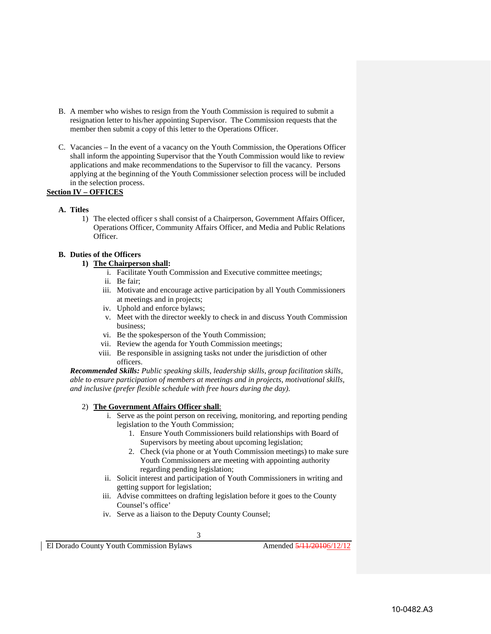- B. A member who wishes to resign from the Youth Commission is required to submit a resignation letter to his/her appointing Supervisor. The Commission requests that the member then submit a copy of this letter to the Operations Officer.
- C. Vacancies In the event of a vacancy on the Youth Commission, the Operations Officer shall inform the appointing Supervisor that the Youth Commission would like to review applications and make recommendations to the Supervisor to fill the vacancy. Persons applying at the beginning of the Youth Commissioner selection process will be included in the selection process.

# **Section IV – OFFICES**

- **A. Titles**
	- 1) The elected officer s shall consist of a Chairperson, Government Affairs Officer, Operations Officer, Community Affairs Officer, and Media and Public Relations Officer.

# **B. Duties of the Officers**

# **1) The Chairperson shall:**

- i. Facilitate Youth Commission and Executive committee meetings;
- ii. Be fair;
- iii. Motivate and encourage active participation by all Youth Commissioners at meetings and in projects;
- iv. Uphold and enforce bylaws;
- v. Meet with the director weekly to check in and discuss Youth Commission business;
- vi. Be the spokesperson of the Youth Commission;
- vii. Review the agenda for Youth Commission meetings;
- viii. Be responsible in assigning tasks not under the jurisdiction of other officers.

*Recommended Skills: Public speaking skills, leadership skills, group facilitation skills, able to ensure participation of members at meetings and in projects, motivational skills, and inclusive (prefer flexible schedule with free hours during the day).*

# 2) **The Government Affairs Officer shall**:

- i. Serve as the point person on receiving, monitoring, and reporting pending legislation to the Youth Commission;
	- 1. Ensure Youth Commissioners build relationships with Board of Supervisors by meeting about upcoming legislation;
	- 2. Check (via phone or at Youth Commission meetings) to make sure Youth Commissioners are meeting with appointing authority regarding pending legislation;
- ii. Solicit interest and participation of Youth Commissioners in writing and getting support for legislation;
- iii. Advise committees on drafting legislation before it goes to the County Counsel's office'
- iv. Serve as a liaison to the Deputy County Counsel;

3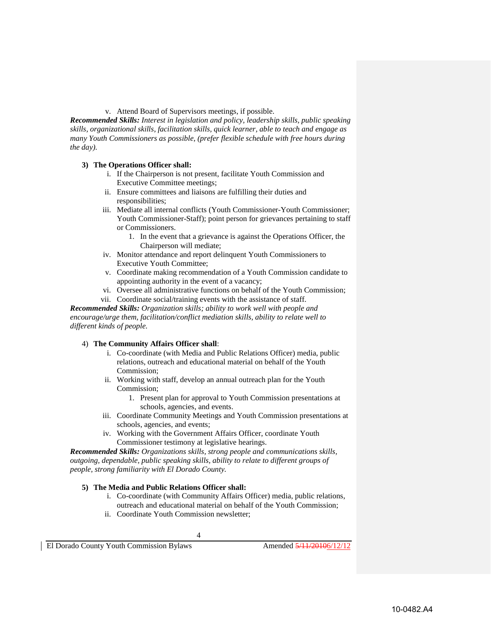v. Attend Board of Supervisors meetings, if possible.

*Recommended Skills: Interest in legislation and policy, leadership skills, public speaking skills, organizational skills, facilitation skills, quick learner, able to teach and engage as many Youth Commissioners as possible, (prefer flexible schedule with free hours during the day).*

### **3) The Operations Officer shall:**

- i. If the Chairperson is not present, facilitate Youth Commission and Executive Committee meetings;
- ii. Ensure committees and liaisons are fulfilling their duties and responsibilities;
- iii. Mediate all internal conflicts (Youth Commissioner-Youth Commissioner; Youth Commissioner-Staff); point person for grievances pertaining to staff or Commissioners.
	- 1. In the event that a grievance is against the Operations Officer, the Chairperson will mediate;
- iv. Monitor attendance and report delinquent Youth Commissioners to Executive Youth Committee;
- v. Coordinate making recommendation of a Youth Commission candidate to appointing authority in the event of a vacancy;
- vi. Oversee all administrative functions on behalf of the Youth Commission;
- vii. Coordinate social/training events with the assistance of staff.

*Recommended Skills: Organization skills; ability to work well with people and encourage/urge them, facilitation/conflict mediation skills, ability to relate well to different kinds of people.* 

# 4) **The Community Affairs Officer shall**:

- i. Co-coordinate (with Media and Public Relations Officer) media, public relations, outreach and educational material on behalf of the Youth Commission;
- ii. Working with staff, develop an annual outreach plan for the Youth Commission;
	- 1. Present plan for approval to Youth Commission presentations at schools, agencies, and events.
- iii. Coordinate Community Meetings and Youth Commission presentations at schools, agencies, and events;
- iv. Working with the Government Affairs Officer, coordinate Youth Commissioner testimony at legislative hearings.

*Recommended Skills: Organizations skills, strong people and communications skills, outgoing, dependable, public speaking skills, ability to relate to different groups of people, strong familiarity with El Dorado County.* 

### **5) The Media and Public Relations Officer shall:**

- i. Co-coordinate (with Community Affairs Officer) media, public relations, outreach and educational material on behalf of the Youth Commission;
- ii. Coordinate Youth Commission newsletter;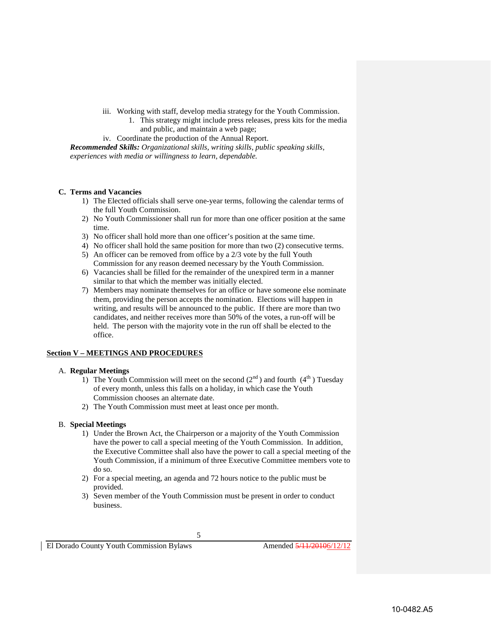- iii. Working with staff, develop media strategy for the Youth Commission.
	- 1. This strategy might include press releases, press kits for the media and public, and maintain a web page;
- iv. Coordinate the production of the Annual Report.

*Recommended Skills: Organizational skills, writing skills, public speaking skills, experiences with media or willingness to learn, dependable.* 

## **C. Terms and Vacancies**

- 1) The Elected officials shall serve one-year terms, following the calendar terms of the full Youth Commission.
- 2) No Youth Commissioner shall run for more than one officer position at the same time.
- 3) No officer shall hold more than one officer's position at the same time.
- 4) No officer shall hold the same position for more than two (2) consecutive terms.
- 5) An officer can be removed from office by a 2/3 vote by the full Youth Commission for any reason deemed necessary by the Youth Commission.
- 6) Vacancies shall be filled for the remainder of the unexpired term in a manner similar to that which the member was initially elected.
- 7) Members may nominate themselves for an office or have someone else nominate them, providing the person accepts the nomination. Elections will happen in writing, and results will be announced to the public. If there are more than two candidates, and neither receives more than 50% of the votes, a run-off will be held. The person with the majority vote in the run off shall be elected to the office.

## **Section V – MEETINGS AND PROCEDURES**

### A. **Regular Meetings**

- 1) The Youth Commission will meet on the second  $(2<sup>nd</sup>)$  and fourth  $(4<sup>th</sup>)$  Tuesday of every month, unless this falls on a holiday, in which case the Youth Commission chooses an alternate date.
- 2) The Youth Commission must meet at least once per month.

### B. **Special Meetings**

- 1) Under the Brown Act, the Chairperson or a majority of the Youth Commission have the power to call a special meeting of the Youth Commission. In addition, the Executive Committee shall also have the power to call a special meeting of the Youth Commission, if a minimum of three Executive Committee members vote to do so.
- 2) For a special meeting, an agenda and 72 hours notice to the public must be provided.
- 3) Seven member of the Youth Commission must be present in order to conduct business.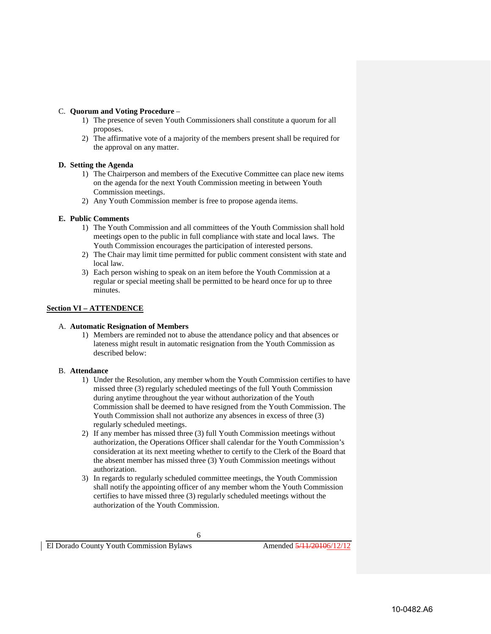## C. **Quorum and Voting Procedure** –

- 1) The presence of seven Youth Commissioners shall constitute a quorum for all proposes.
- 2) The affirmative vote of a majority of the members present shall be required for the approval on any matter.

## **D. Setting the Agenda**

- 1) The Chairperson and members of the Executive Committee can place new items on the agenda for the next Youth Commission meeting in between Youth Commission meetings.
- 2) Any Youth Commission member is free to propose agenda items.

## **E. Public Comments**

- 1) The Youth Commission and all committees of the Youth Commission shall hold meetings open to the public in full compliance with state and local laws. The Youth Commission encourages the participation of interested persons.
- 2) The Chair may limit time permitted for public comment consistent with state and local law.
- 3) Each person wishing to speak on an item before the Youth Commission at a regular or special meeting shall be permitted to be heard once for up to three minutes.

## **Section VI – ATTENDENCE**

### A. **Automatic Resignation of Members**

1) Members are reminded not to abuse the attendance policy and that absences or lateness might result in automatic resignation from the Youth Commission as described below:

### B. **Attendance**

- 1) Under the Resolution, any member whom the Youth Commission certifies to have missed three (3) regularly scheduled meetings of the full Youth Commission during anytime throughout the year without authorization of the Youth Commission shall be deemed to have resigned from the Youth Commission. The Youth Commission shall not authorize any absences in excess of three (3) regularly scheduled meetings.
- 2) If any member has missed three (3) full Youth Commission meetings without authorization, the Operations Officer shall calendar for the Youth Commission's consideration at its next meeting whether to certify to the Clerk of the Board that the absent member has missed three (3) Youth Commission meetings without authorization.
- 3) In regards to regularly scheduled committee meetings, the Youth Commission shall notify the appointing officer of any member whom the Youth Commission certifies to have missed three (3) regularly scheduled meetings without the authorization of the Youth Commission.

6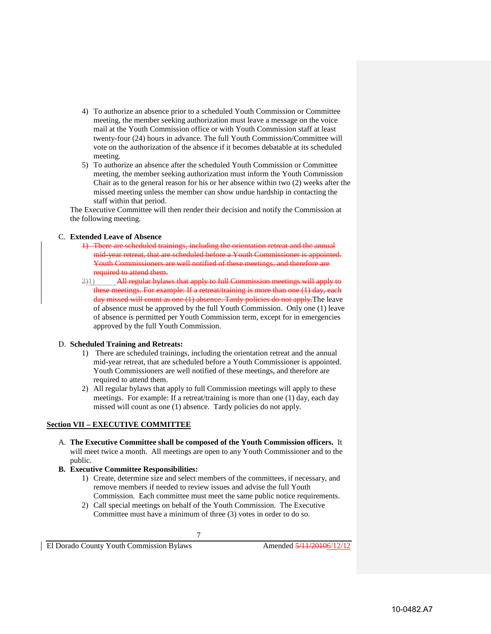- 4) To authorize an absence prior to a scheduled Youth Commission or Committee meeting, the member seeking authorization must leave a message on the voice mail at the Youth Commission office or with Youth Commission staff at least twenty-four (24) hours in advance. The full Youth Commission/Committee will vote on the authorization of the absence if it becomes debatable at its scheduled meeting.
- 5) To authorize an absence after the scheduled Youth Commission or Committee meeting, the member seeking authorization must inform the Youth Commission Chair as to the general reason for his or her absence within two (2) weeks after the missed meeting unless the member can show undue hardship in contacting the staff within that period.

The Executive Committee will then render their decision and notify the Commission at the following meeting.

# C. **Extended Leave of Absence**

- 1) There are scheduled trainings. mid-year retreat, that are scheduled before a Youth Commissioner is appointed. Youth Commissioners are well notified of these meetings, and therefore are required to attend them.
- 2)1) All regular bylaws that apply to full Commission meetings will apply to these meetings. For example: If a retreat/training is more than one (1) day, each day missed will count as one (1) absence. Tardy policies do not apply. The leave of absence must be approved by the full Youth Commission. Only one (1) leave of absence is permitted per Youth Commission term, except for in emergencies approved by the full Youth Commission.

### D. **Scheduled Training and Retreats:**

- 1) There are scheduled trainings, including the orientation retreat and the annual mid-year retreat, that are scheduled before a Youth Commissioner is appointed. Youth Commissioners are well notified of these meetings, and therefore are required to attend them.
- 2) All regular bylaws that apply to full Commission meetings will apply to these meetings. For example: If a retreat/training is more than one (1) day, each day missed will count as one (1) absence. Tardy policies do not apply.

# **Section VII – EXECUTIVE COMMITTEE**

- A. **The Executive Committee shall be composed of the Youth Commission officers.** It will meet twice a month. All meetings are open to any Youth Commissioner and to the public.
- **B. Executive Committee Responsibilities:** 
	- 1) Create, determine size and select members of the committees, if necessary, and remove members if needed to review issues and advise the full Youth Commission. Each committee must meet the same public notice requirements.
	- 2) Call special meetings on behalf of the Youth Commission. The Executive Committee must have a minimum of three (3) votes in order to do so.

7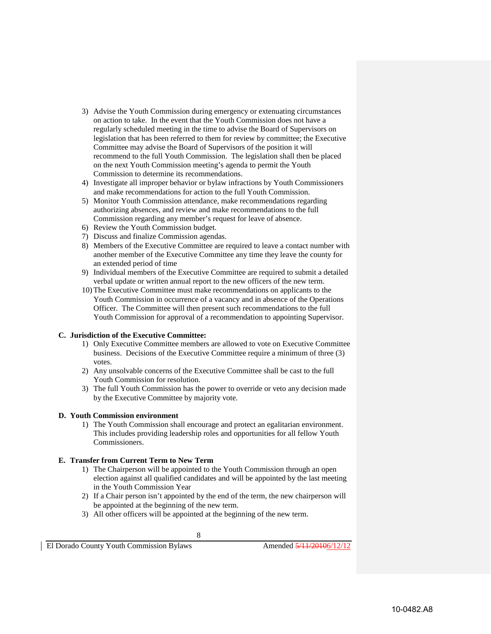- 3) Advise the Youth Commission during emergency or extenuating circumstances on action to take. In the event that the Youth Commission does not have a regularly scheduled meeting in the time to advise the Board of Supervisors on legislation that has been referred to them for review by committee; the Executive Committee may advise the Board of Supervisors of the position it will recommend to the full Youth Commission. The legislation shall then be placed on the next Youth Commission meeting's agenda to permit the Youth Commission to determine its recommendations.
- 4) Investigate all improper behavior or bylaw infractions by Youth Commissioners and make recommendations for action to the full Youth Commission.
- 5) Monitor Youth Commission attendance, make recommendations regarding authorizing absences, and review and make recommendations to the full Commission regarding any member's request for leave of absence.
- 6) Review the Youth Commission budget.
- 7) Discuss and finalize Commission agendas.
- 8) Members of the Executive Committee are required to leave a contact number with another member of the Executive Committee any time they leave the county for an extended period of time
- 9) Individual members of the Executive Committee are required to submit a detailed verbal update or written annual report to the new officers of the new term.
- 10) The Executive Committee must make recommendations on applicants to the Youth Commission in occurrence of a vacancy and in absence of the Operations Officer. The Committee will then present such recommendations to the full Youth Commission for approval of a recommendation to appointing Supervisor.

### **C. Jurisdiction of the Executive Committee:**

- 1) Only Executive Committee members are allowed to vote on Executive Committee business. Decisions of the Executive Committee require a minimum of three (3) votes.
- 2) Any unsolvable concerns of the Executive Committee shall be cast to the full Youth Commission for resolution.
- 3) The full Youth Commission has the power to override or veto any decision made by the Executive Committee by majority vote.

### **D. Youth Commission environment**

1) The Youth Commission shall encourage and protect an egalitarian environment. This includes providing leadership roles and opportunities for all fellow Youth Commissioners.

### **E. Transfer from Current Term to New Term**

- 1) The Chairperson will be appointed to the Youth Commission through an open election against all qualified candidates and will be appointed by the last meeting in the Youth Commission Year
- 2) If a Chair person isn't appointed by the end of the term, the new chairperson will be appointed at the beginning of the new term.
- 3) All other officers will be appointed at the beginning of the new term.

8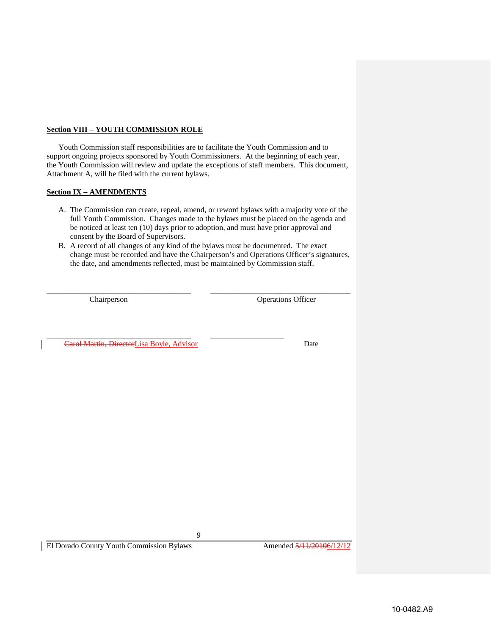# **Section VIII – YOUTH COMMISSION ROLE**

Youth Commission staff responsibilities are to facilitate the Youth Commission and to support ongoing projects sponsored by Youth Commissioners. At the beginning of each year, the Youth Commission will review and update the exceptions of staff members. This document, Attachment A, will be filed with the current bylaws.

# **Section IX – AMENDMENTS**

- A. The Commission can create, repeal, amend, or reword bylaws with a majority vote of the full Youth Commission. Changes made to the bylaws must be placed on the agenda and be noticed at least ten (10) days prior to adoption, and must have prior approval and consent by the Board of Supervisors.
- B. A record of all changes of any kind of the bylaws must be documented. The exact change must be recorded and have the Chairperson's and Operations Officer's signatures, the date, and amendments reflected, must be maintained by Commission staff.

\_\_\_\_\_\_\_\_\_\_\_\_\_\_\_\_\_\_\_\_\_\_\_\_\_\_\_\_\_\_\_\_\_\_\_\_\_ \_\_\_\_\_\_\_\_\_\_\_\_\_\_\_\_\_\_\_\_\_\_\_\_\_\_\_\_\_\_\_\_\_\_\_\_

Chairperson Operations Officer

\_\_\_\_\_\_\_\_\_\_\_\_\_\_\_\_\_\_\_\_\_\_\_\_\_\_\_\_\_\_\_\_\_\_\_\_\_ \_\_\_\_\_\_\_\_\_\_\_\_\_\_\_\_\_\_\_ **Carol Martin, DirectorLisa Boyle, Advisor** Date

9